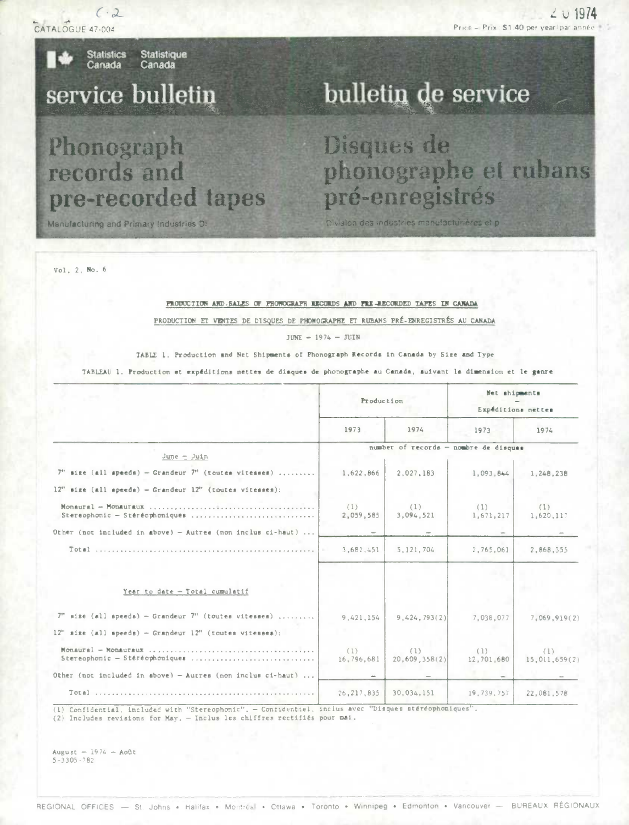CATALOGUE 47-004

**Statistics Statistique** Canada Canada

 $(-2)$ 

# service bulletin

# Phonograph records and pre-recorded tapes

Manufacturing and Primary Industries D:

# bulletin de service

Disques de phonographe et rubans pré-enregistrés

Division des industries manufacturières et p

 $Vol. 2. No. 6$ 

#### PRODUCTION AND SALES OF PRONOGRAPH RECORDS AND FRE-RECORDED TAPES IN CANADA

PRODUCTION ET VENTES DE DISQUES DE PHONOGRAPHE ET RUBANS PRÉ-ENREGISTRÉS AU CANADA

 $JUNF = 1974 - JUIN$ 

TABLE 1. Production and Net Shipments of Phonograph Records in Canada by Size and Type

TABLEAU 1. Production et expéditions nettes de disques de phonographe au Canada, suivant la dimension et le genre

|                                                             | Production                            |                      | Net shipments<br>Expéditions nettes |                      |
|-------------------------------------------------------------|---------------------------------------|----------------------|-------------------------------------|----------------------|
|                                                             | 1973                                  | 1974                 | 1973                                | 1974                 |
| $June - Juin$                                               | number of records - nombre de disques |                      |                                     |                      |
| $7"$ size (all speeds) - Grandeur $7"$ (toutes vitesses)    | 1.622.866                             | 2.027.183            | 1,093,844                           | 1,248,238            |
| $12"$ size (all speeds) - Grandeur $12"$ (toutes vitesses): |                                       |                      |                                     |                      |
| $S$ rereophonic - Stéréophoniques                           | (1)<br>2,059,585                      | (1)<br>3,094,521     | (1)<br>1,671,217                    | (1)<br>1,620,117     |
| Other (not included in above) - Autres (non inclus ci-haut) |                                       |                      |                                     |                      |
|                                                             | 3,682,451                             | 5.121.704            | 2,765,061                           | 2.868.355            |
|                                                             |                                       |                      |                                     |                      |
| Year to date - Total cumulatif                              |                                       |                      |                                     |                      |
| $7n$ size (all speeds) - Grandeur $7n$ (toutes vitesses)    | 9,421.154                             | 9,424,793(2)         | 7,038,077                           | 7,069,919(2)         |
| $12"$ size (all speeds) - Grandeur $12"$ (toutes vitesses): |                                       |                      |                                     |                      |
| Stereophonic - Stereophoniques                              | (1)<br>16,796,681                     | (1)<br>20,609,358(2) | (1)<br>12,701,680                   | (1)<br>15,011,659(2) |
| Other (not included in above) - Autres (non inclus ci-haut) |                                       |                      |                                     |                      |
|                                                             | 26, 217, 835                          | 30.034.151           | 19.739.757                          | 22.081.578           |

(1) Confidential, included with "Stereophonic". - Confidentiel, inclus avec "Disques stéréophoniques". (2) Includes revisions for May, - Inclus les chiffres rectifiés pour mai.

August  $-1974 - A_00t$  $5 - 3305 - 782$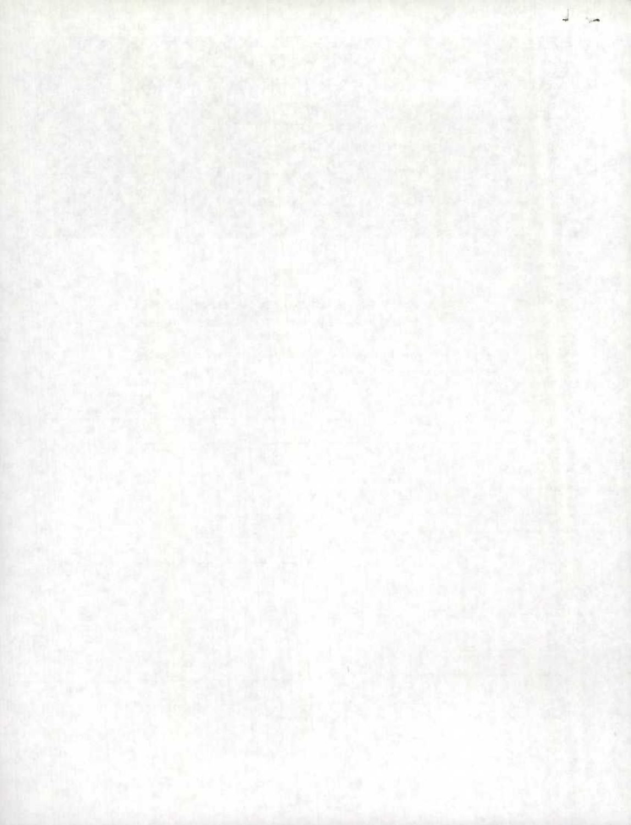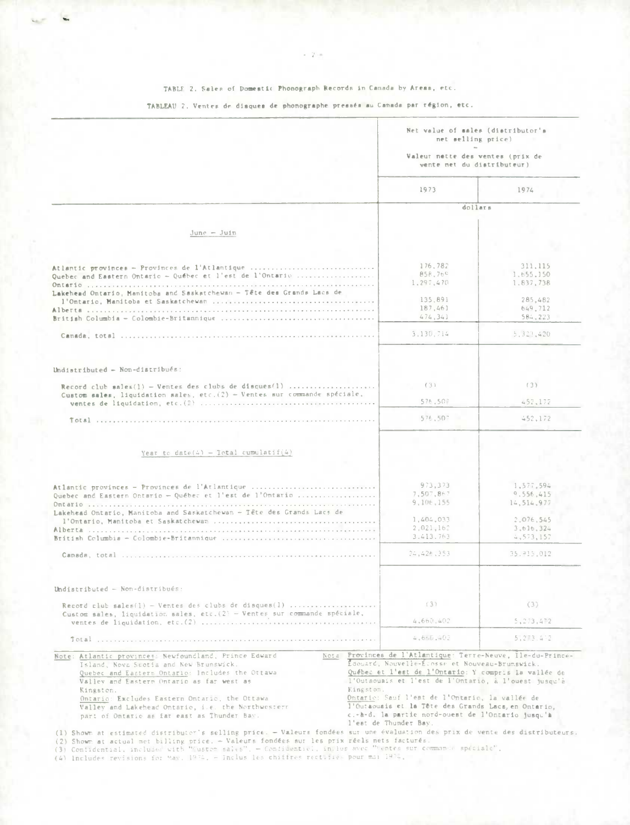### TABLE 2. Sales of Domestic Phonograph Records in Canada by Areas, etc.

| TABLEAU 2. Ventes de disques de phonographe pressés au Canada par région, etc |  |  |  |  |  |  |  |  |
|-------------------------------------------------------------------------------|--|--|--|--|--|--|--|--|
|-------------------------------------------------------------------------------|--|--|--|--|--|--|--|--|

|                                                                                                                                                                                                                                                                                                                                                                                         | Net value of males (distributor's<br>net selling price)<br>Valeur nette des ventes (prix de<br>vente net du distributeur)                                                                                                                                                                                                    |                                                        |  |
|-----------------------------------------------------------------------------------------------------------------------------------------------------------------------------------------------------------------------------------------------------------------------------------------------------------------------------------------------------------------------------------------|------------------------------------------------------------------------------------------------------------------------------------------------------------------------------------------------------------------------------------------------------------------------------------------------------------------------------|--------------------------------------------------------|--|
|                                                                                                                                                                                                                                                                                                                                                                                         |                                                                                                                                                                                                                                                                                                                              |                                                        |  |
|                                                                                                                                                                                                                                                                                                                                                                                         | 1973                                                                                                                                                                                                                                                                                                                         | 1974                                                   |  |
|                                                                                                                                                                                                                                                                                                                                                                                         | dollars                                                                                                                                                                                                                                                                                                                      |                                                        |  |
| $June - Juli$                                                                                                                                                                                                                                                                                                                                                                           |                                                                                                                                                                                                                                                                                                                              |                                                        |  |
|                                                                                                                                                                                                                                                                                                                                                                                         |                                                                                                                                                                                                                                                                                                                              |                                                        |  |
| Atlantic provinces - Provinces de l'Atlantique<br>Quebec and Eastern Ontario - Québec et l'est de l'Ontario                                                                                                                                                                                                                                                                             | 176.782<br>858,769                                                                                                                                                                                                                                                                                                           | 311,115<br>1,655,150                                   |  |
| Lakehead Ontario, Menitoba and Saskatchewan - Tête des Granda Lacs de                                                                                                                                                                                                                                                                                                                   | 1,297,470<br>135.891                                                                                                                                                                                                                                                                                                         | 1,837,738<br>285,482                                   |  |
|                                                                                                                                                                                                                                                                                                                                                                                         | 187,461<br>474,341                                                                                                                                                                                                                                                                                                           | 649.712<br>584,223                                     |  |
|                                                                                                                                                                                                                                                                                                                                                                                         | 3,130,714                                                                                                                                                                                                                                                                                                                    | 5,323,420                                              |  |
|                                                                                                                                                                                                                                                                                                                                                                                         |                                                                                                                                                                                                                                                                                                                              |                                                        |  |
| Undistributed - Non-distribués:                                                                                                                                                                                                                                                                                                                                                         |                                                                                                                                                                                                                                                                                                                              |                                                        |  |
| Record club sales(1) - Ventes des clubs de disques(1)                                                                                                                                                                                                                                                                                                                                   | (3)                                                                                                                                                                                                                                                                                                                          | (3)                                                    |  |
| Custom sales, liquidation sales, etc. $(2)$ - Ventes sur commande spéciale,                                                                                                                                                                                                                                                                                                             | 576,507                                                                                                                                                                                                                                                                                                                      | 452,172                                                |  |
|                                                                                                                                                                                                                                                                                                                                                                                         | 576,507                                                                                                                                                                                                                                                                                                                      | 452, 172                                               |  |
|                                                                                                                                                                                                                                                                                                                                                                                         |                                                                                                                                                                                                                                                                                                                              |                                                        |  |
| Year to date(4) - Total cumulatif(4)                                                                                                                                                                                                                                                                                                                                                    |                                                                                                                                                                                                                                                                                                                              |                                                        |  |
|                                                                                                                                                                                                                                                                                                                                                                                         |                                                                                                                                                                                                                                                                                                                              |                                                        |  |
| Atlantic provinces - Provinces de l'Atlantique<br>Quebec and Eastern Ontario - Québec et l'est de l'Ontario                                                                                                                                                                                                                                                                             | 973,373<br>7,507,867<br>9,106,155                                                                                                                                                                                                                                                                                            | 1,577,594<br>9,556,415<br>14,514,977                   |  |
| Lakehead Ontario, Manitoba and Saskatchewan - Tête des Grands Lacs de                                                                                                                                                                                                                                                                                                                   | 1,404,033                                                                                                                                                                                                                                                                                                                    | 2.076,545                                              |  |
|                                                                                                                                                                                                                                                                                                                                                                                         | 2,021,162<br>3.413.763                                                                                                                                                                                                                                                                                                       | 3,616,324<br>4,573,157                                 |  |
|                                                                                                                                                                                                                                                                                                                                                                                         | 24,426,353                                                                                                                                                                                                                                                                                                                   | 35.915.012                                             |  |
|                                                                                                                                                                                                                                                                                                                                                                                         |                                                                                                                                                                                                                                                                                                                              |                                                        |  |
| Undistributed - Non-distribués:                                                                                                                                                                                                                                                                                                                                                         |                                                                                                                                                                                                                                                                                                                              |                                                        |  |
| Record club sales(1) - Ventes des clubs de disques(1)<br>Custom sales, liquidation sales, etc. $(2)$ - Ventes sur commande spéciale,                                                                                                                                                                                                                                                    | (3)<br>4,660,402                                                                                                                                                                                                                                                                                                             | (3)<br>5,273,472                                       |  |
|                                                                                                                                                                                                                                                                                                                                                                                         | 4.650.402                                                                                                                                                                                                                                                                                                                    | 5,273.432                                              |  |
| Note: Atlantic provinces: Newfoundland, Prince Edward<br>Nota<br>Island, Nova Scotia and New Brunswick,<br>Quebec and Eastern Ontario: Includes the Ottawa<br>Valley and Eastern Ontario as far west as<br>Kingston.<br>Kingston.<br>Ontario: Excludes Eastern Ontario, the Ottawa<br>Valley and Lakehead Ontario, i.e. the Northwestern<br>nart of Ontario as far east as Thunder Bay. | Edouard, Nouvelle-Écosse et Nouveau-Brunswick.<br>Québec et l'est de l'Ontario: Y compris la vallée de<br>l'Outaouais et l'est de l'Ontario, à l'ouest jusqu'à<br>Ontario: Sauf l'est de l'Ontario, la vallée de<br>l'Outaquais et la Tête des Grands Lacs, en Ontario.<br>c.-à-d. la partie nord-ouest de l'Ontario jusqu'à | Provinces de l'Atlantique: Terre-Neuve, Ile-du-Prince- |  |

Lest de inunder Bay.<br>
(1) Shown at estimated distributor's selling price. - Valeurs fondées sur une évaluation des prix de vente des distributeurs.<br>
(2) Shown at actual net billing price. - Valeurs fondées sur les prix rée

l'est de Thunder Bay.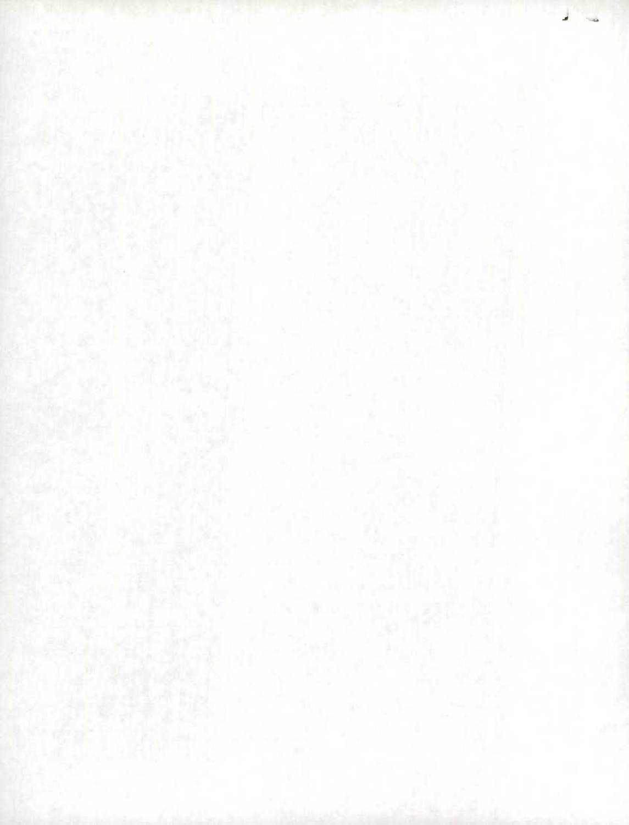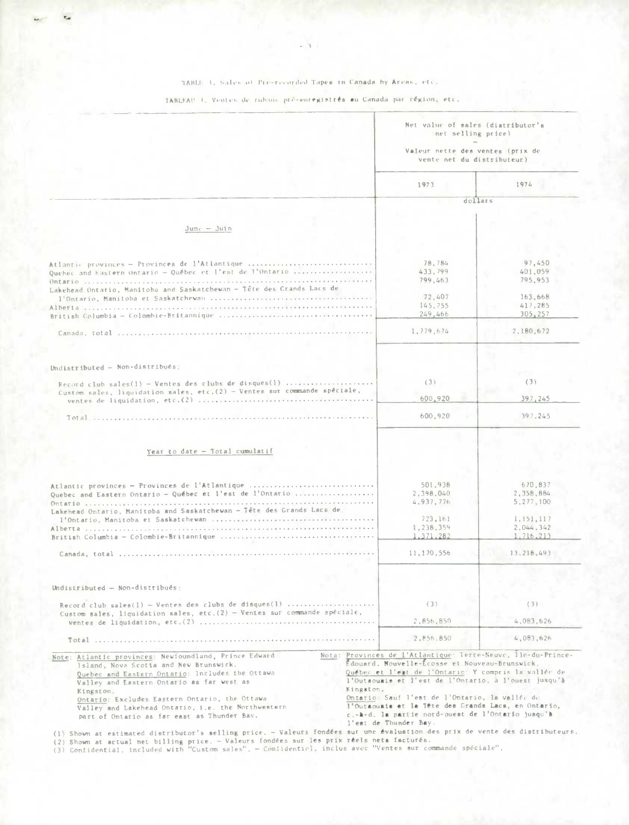#### TABLE 1, Sales of Pre-recorded Tapes in Canada by Areas, etc.

TABLEAU 4. Ventes de rubius pré-enregistrés au Canada par région, etc.

|                                                                                                                                                                                                                                                                                                                                                                                 | Net value of sales (distributor's<br>net selling price)<br>Valeur nette des ventes (prix de<br>vente net du distributeur)                                                      |                                                                                                                                                                     |  |
|---------------------------------------------------------------------------------------------------------------------------------------------------------------------------------------------------------------------------------------------------------------------------------------------------------------------------------------------------------------------------------|--------------------------------------------------------------------------------------------------------------------------------------------------------------------------------|---------------------------------------------------------------------------------------------------------------------------------------------------------------------|--|
|                                                                                                                                                                                                                                                                                                                                                                                 | 1973                                                                                                                                                                           | 1974                                                                                                                                                                |  |
|                                                                                                                                                                                                                                                                                                                                                                                 |                                                                                                                                                                                | dollars                                                                                                                                                             |  |
|                                                                                                                                                                                                                                                                                                                                                                                 |                                                                                                                                                                                |                                                                                                                                                                     |  |
| June - Juin                                                                                                                                                                                                                                                                                                                                                                     |                                                                                                                                                                                |                                                                                                                                                                     |  |
|                                                                                                                                                                                                                                                                                                                                                                                 |                                                                                                                                                                                |                                                                                                                                                                     |  |
|                                                                                                                                                                                                                                                                                                                                                                                 |                                                                                                                                                                                |                                                                                                                                                                     |  |
| Atlantic provinces - Provinces de l'Atlantique<br>Quebec and Eastern Ontario - Québec et l'est de l'Ontario                                                                                                                                                                                                                                                                     | 78,784<br>433,799                                                                                                                                                              | 97,450<br>401,059                                                                                                                                                   |  |
|                                                                                                                                                                                                                                                                                                                                                                                 | 799,463                                                                                                                                                                        | 795,953                                                                                                                                                             |  |
| Lakehead Ontario, Manitoba and Saskatchewan - Tête des Crands Lacs de                                                                                                                                                                                                                                                                                                           | 72,407                                                                                                                                                                         | 163.668                                                                                                                                                             |  |
|                                                                                                                                                                                                                                                                                                                                                                                 | 145,755                                                                                                                                                                        | 417,285                                                                                                                                                             |  |
|                                                                                                                                                                                                                                                                                                                                                                                 | 249,466                                                                                                                                                                        | 305,257                                                                                                                                                             |  |
|                                                                                                                                                                                                                                                                                                                                                                                 | 1,779,674                                                                                                                                                                      | 2,180,672                                                                                                                                                           |  |
|                                                                                                                                                                                                                                                                                                                                                                                 |                                                                                                                                                                                |                                                                                                                                                                     |  |
|                                                                                                                                                                                                                                                                                                                                                                                 |                                                                                                                                                                                |                                                                                                                                                                     |  |
| Undistributed - Non-distribués:                                                                                                                                                                                                                                                                                                                                                 |                                                                                                                                                                                |                                                                                                                                                                     |  |
| Record club sales(1) - Ventes des clubs de disques(1)                                                                                                                                                                                                                                                                                                                           | (3)                                                                                                                                                                            | (3)                                                                                                                                                                 |  |
| Custom sales, liquidation sales, etc. (2) - Ventes sur commande spéciale,                                                                                                                                                                                                                                                                                                       | 600,920                                                                                                                                                                        | 397,245                                                                                                                                                             |  |
| Total concernment construction of the contract of the contract of the contract of the contract of the contract of the contract of the contract of the contract of the contract of the contract of the contract of the contract                                                                                                                                                  | 600.920                                                                                                                                                                        | 397,245                                                                                                                                                             |  |
|                                                                                                                                                                                                                                                                                                                                                                                 |                                                                                                                                                                                |                                                                                                                                                                     |  |
|                                                                                                                                                                                                                                                                                                                                                                                 |                                                                                                                                                                                |                                                                                                                                                                     |  |
| Year to date - Total cumulatif                                                                                                                                                                                                                                                                                                                                                  |                                                                                                                                                                                |                                                                                                                                                                     |  |
|                                                                                                                                                                                                                                                                                                                                                                                 |                                                                                                                                                                                |                                                                                                                                                                     |  |
| Atlantic provinces - Provinces de l'Atlantique                                                                                                                                                                                                                                                                                                                                  | 501,938                                                                                                                                                                        | 670.837                                                                                                                                                             |  |
| Quebec and Eastern Ontario - Québec et l'est de l'Ontario                                                                                                                                                                                                                                                                                                                       | 2.398.040                                                                                                                                                                      | 2.358.884                                                                                                                                                           |  |
|                                                                                                                                                                                                                                                                                                                                                                                 | 4,937,776                                                                                                                                                                      | 5,277,100                                                                                                                                                           |  |
| Lakehead Ontario, Manitoba and Saskatchewan - Tête des Grands Lacs de                                                                                                                                                                                                                                                                                                           | 723,161                                                                                                                                                                        | 1,151,117                                                                                                                                                           |  |
|                                                                                                                                                                                                                                                                                                                                                                                 | 1,238,359                                                                                                                                                                      | 2,044.342                                                                                                                                                           |  |
|                                                                                                                                                                                                                                                                                                                                                                                 | 1.371.282                                                                                                                                                                      | 1,716,213                                                                                                                                                           |  |
|                                                                                                                                                                                                                                                                                                                                                                                 | 11,170,556                                                                                                                                                                     | 13, 218, 493                                                                                                                                                        |  |
|                                                                                                                                                                                                                                                                                                                                                                                 |                                                                                                                                                                                |                                                                                                                                                                     |  |
|                                                                                                                                                                                                                                                                                                                                                                                 |                                                                                                                                                                                |                                                                                                                                                                     |  |
| Undistributed $-$ Non-distribués:                                                                                                                                                                                                                                                                                                                                               |                                                                                                                                                                                |                                                                                                                                                                     |  |
| Record club sales(1) - Ventes des clubs de disques(1)<br>Custom sales, liquidation sales, etc.(2) - Ventes sur commande spéciale,                                                                                                                                                                                                                                               | (3)                                                                                                                                                                            | (3)                                                                                                                                                                 |  |
|                                                                                                                                                                                                                                                                                                                                                                                 | 2,856,850                                                                                                                                                                      | 4,083,626                                                                                                                                                           |  |
|                                                                                                                                                                                                                                                                                                                                                                                 | 2.856.850                                                                                                                                                                      | 4,083,626                                                                                                                                                           |  |
|                                                                                                                                                                                                                                                                                                                                                                                 |                                                                                                                                                                                | Nota: Provinces de l'Atlantique: Terre-Neuve, Ile-du-Prince-                                                                                                        |  |
| Note: Atlantic provinces: Newfoundland, Prince Edward<br>Island, Nova Scotia and New Brunswick.<br>Quebec and Eastern Ontario: Includes the Ottawa<br>Valley and Eastern Ontario as far west as<br>Kingston.<br>Kingston.<br>Ontario: Excludes Eastern Ontario, the Ottawa<br>Valley and Lakehead Ontario, i.e. the Northwestern<br>part of Ontario as far east as Thunder Bay. | Edouard, Nouvelle-Écosse et Nouveau-Brunswick.<br>Ontario: Sauf l'est de l'Ontario, la vallée de<br>c.-h-d. la partie nord-ouest de l'Ontario jusqu'à<br>l'est de Thunder Bay. | Québec et l'est de l'Ontario: Y compris la vallée de<br>l'Outaouais et l'est de l'Ontario, à l'ouest jusqu'à<br>l'Outaouais et la Tête des Grands Lacs, en Ontario. |  |

(1) Shown at estimated distributor's selling price. - Valeurs fondées sur une évaluation des prix de vente et<br>(2) Shown at actual net billing price. - Valeurs fondées sur les prix réels nets facturés.<br>(3) Confidential, inc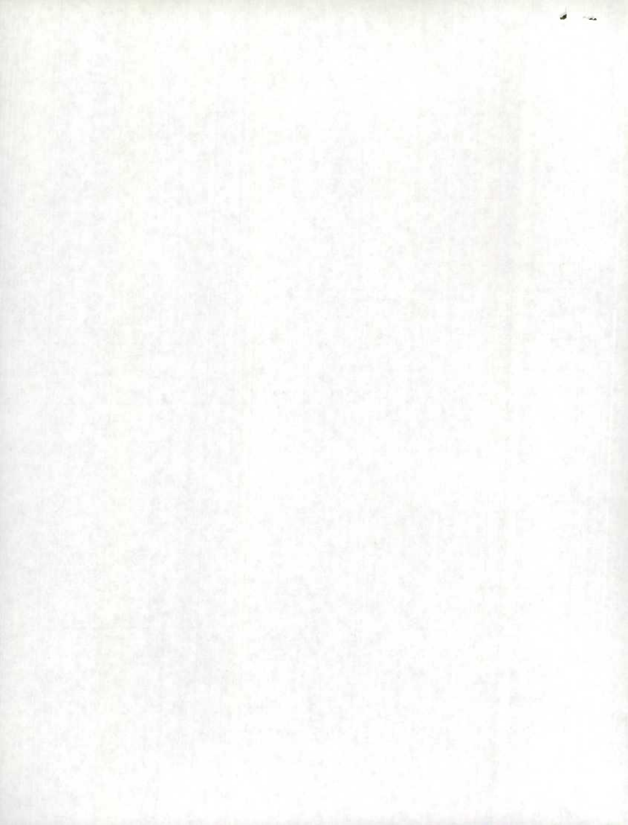![](_page_5_Picture_0.jpeg)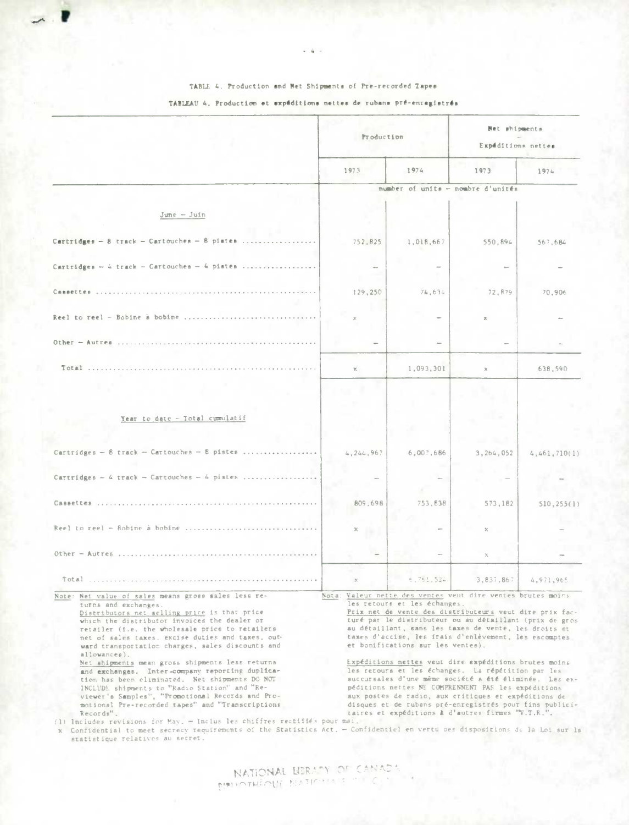### TABLE 4. Production and Net Shipments of Pre-recorded Tapes.

## TABLEAU 4, Production et expéditions nettes de rubans pré-enregistrés

|                                                                                                                                                                                                                                                                                                                                                                                                                                                                                                                                                                                                                                                                                                                                                                    | Production                                                                                                                                                                                                                                                                                                                                                                                                                                                                                                                                                                                                                                                                                                                                                                       |           | Net shipments<br>Expéditions nettes |              |  |
|--------------------------------------------------------------------------------------------------------------------------------------------------------------------------------------------------------------------------------------------------------------------------------------------------------------------------------------------------------------------------------------------------------------------------------------------------------------------------------------------------------------------------------------------------------------------------------------------------------------------------------------------------------------------------------------------------------------------------------------------------------------------|----------------------------------------------------------------------------------------------------------------------------------------------------------------------------------------------------------------------------------------------------------------------------------------------------------------------------------------------------------------------------------------------------------------------------------------------------------------------------------------------------------------------------------------------------------------------------------------------------------------------------------------------------------------------------------------------------------------------------------------------------------------------------------|-----------|-------------------------------------|--------------|--|
|                                                                                                                                                                                                                                                                                                                                                                                                                                                                                                                                                                                                                                                                                                                                                                    | 1973                                                                                                                                                                                                                                                                                                                                                                                                                                                                                                                                                                                                                                                                                                                                                                             | 1974      | 1973                                | 1974         |  |
|                                                                                                                                                                                                                                                                                                                                                                                                                                                                                                                                                                                                                                                                                                                                                                    |                                                                                                                                                                                                                                                                                                                                                                                                                                                                                                                                                                                                                                                                                                                                                                                  |           | number of units - nombre d'unités   |              |  |
|                                                                                                                                                                                                                                                                                                                                                                                                                                                                                                                                                                                                                                                                                                                                                                    |                                                                                                                                                                                                                                                                                                                                                                                                                                                                                                                                                                                                                                                                                                                                                                                  |           |                                     |              |  |
| $June - Juli$                                                                                                                                                                                                                                                                                                                                                                                                                                                                                                                                                                                                                                                                                                                                                      |                                                                                                                                                                                                                                                                                                                                                                                                                                                                                                                                                                                                                                                                                                                                                                                  |           |                                     |              |  |
| Cartridges - 8 track - Cartouches - 8 pistes                                                                                                                                                                                                                                                                                                                                                                                                                                                                                                                                                                                                                                                                                                                       | 752,825                                                                                                                                                                                                                                                                                                                                                                                                                                                                                                                                                                                                                                                                                                                                                                          | 1,018,667 | 550,894                             | 567,684      |  |
| Cartridges - 4 track - Cartouches - 4 pistes                                                                                                                                                                                                                                                                                                                                                                                                                                                                                                                                                                                                                                                                                                                       |                                                                                                                                                                                                                                                                                                                                                                                                                                                                                                                                                                                                                                                                                                                                                                                  |           |                                     |              |  |
|                                                                                                                                                                                                                                                                                                                                                                                                                                                                                                                                                                                                                                                                                                                                                                    | 129,250                                                                                                                                                                                                                                                                                                                                                                                                                                                                                                                                                                                                                                                                                                                                                                          | 74.634    | 72,879                              | 70,906       |  |
| Reel to reel - Bobine à bobine                                                                                                                                                                                                                                                                                                                                                                                                                                                                                                                                                                                                                                                                                                                                     | $\mathbb X$                                                                                                                                                                                                                                                                                                                                                                                                                                                                                                                                                                                                                                                                                                                                                                      |           | x.                                  |              |  |
|                                                                                                                                                                                                                                                                                                                                                                                                                                                                                                                                                                                                                                                                                                                                                                    |                                                                                                                                                                                                                                                                                                                                                                                                                                                                                                                                                                                                                                                                                                                                                                                  |           |                                     |              |  |
|                                                                                                                                                                                                                                                                                                                                                                                                                                                                                                                                                                                                                                                                                                                                                                    | $\mathcal{H}^-$                                                                                                                                                                                                                                                                                                                                                                                                                                                                                                                                                                                                                                                                                                                                                                  | 1,093,301 | $\mathcal{H}^-$                     | 638,590      |  |
|                                                                                                                                                                                                                                                                                                                                                                                                                                                                                                                                                                                                                                                                                                                                                                    |                                                                                                                                                                                                                                                                                                                                                                                                                                                                                                                                                                                                                                                                                                                                                                                  |           |                                     |              |  |
| Year to date - Total cumulatif                                                                                                                                                                                                                                                                                                                                                                                                                                                                                                                                                                                                                                                                                                                                     |                                                                                                                                                                                                                                                                                                                                                                                                                                                                                                                                                                                                                                                                                                                                                                                  |           |                                     |              |  |
| Cartridges - 8 track - Cartouches - 8 pistes                                                                                                                                                                                                                                                                                                                                                                                                                                                                                                                                                                                                                                                                                                                       | 4, 244, 967                                                                                                                                                                                                                                                                                                                                                                                                                                                                                                                                                                                                                                                                                                                                                                      | 6,007,686 | 3,264,052                           | 4,461,710(1) |  |
| Cartridges - 4 track - Cartouches - 4 pistes                                                                                                                                                                                                                                                                                                                                                                                                                                                                                                                                                                                                                                                                                                                       |                                                                                                                                                                                                                                                                                                                                                                                                                                                                                                                                                                                                                                                                                                                                                                                  |           | $-$                                 |              |  |
|                                                                                                                                                                                                                                                                                                                                                                                                                                                                                                                                                                                                                                                                                                                                                                    | 809,698                                                                                                                                                                                                                                                                                                                                                                                                                                                                                                                                                                                                                                                                                                                                                                          | 753,838   | 573,182                             | 510, 255(1)  |  |
| Reel to reel - 8obine à bobine                                                                                                                                                                                                                                                                                                                                                                                                                                                                                                                                                                                                                                                                                                                                     | $\mathbf{x}$                                                                                                                                                                                                                                                                                                                                                                                                                                                                                                                                                                                                                                                                                                                                                                     |           | $\mathbb{X}$                        |              |  |
|                                                                                                                                                                                                                                                                                                                                                                                                                                                                                                                                                                                                                                                                                                                                                                    | $-$                                                                                                                                                                                                                                                                                                                                                                                                                                                                                                                                                                                                                                                                                                                                                                              |           | $\chi$                              |              |  |
|                                                                                                                                                                                                                                                                                                                                                                                                                                                                                                                                                                                                                                                                                                                                                                    | $\,\times\,$                                                                                                                                                                                                                                                                                                                                                                                                                                                                                                                                                                                                                                                                                                                                                                     | 6,761,524 | 3,837,867                           | 4,971,965    |  |
| Note: Net value of sales means gross sales less re-<br>turns and exchanges.<br>Distributors net selling price is that price<br>which the distributor invoices the dealer or<br>retailer (i.e. the wholesale price to retailers<br>net of sales taxes, excise duties and taxes, out-<br>ward transportation charges, sales discounts and<br>allowances).<br>Net shipments mean gross shipments less returns<br>and exchanges. Inter-company reporting duplica-<br>tion has been eliminated. Net shipments DO NOT<br>INCLUDE shipments to "Radio Station" and "Re-<br>viewer's Samples", "Promotional Records and Pro-<br>motional Pre-recorded tapes" and "Transcriptions<br>Records".<br>(1) Includes revisions for May. - Inclus les chiffres rectifiés pour mai. | Nota: Valeur nette des ventes veut dire ventes brutes moins<br>les retours et les échanges.<br>Prix net de vente des distributeurs veut dire prix fac-<br>turé par le distributeur ou au détaillant (prix de gros<br>au détaillant, sans les taxes de vente, les droits et<br>taxes d'accise, les frais d'enlèvement, les escomptes<br>et bonifications sur les ventes).<br>Expéditions nettes veut dire expéditions brutes moins<br>les retours et les échanges. La répétition par les<br>succursales d'une même société a été éliminée. Les ex-<br>péditions nettes NE COMPRENNENT PAS les expéditions<br>aux postes de radio, aux critiques et expéditions de<br>disques et de rubans pré-enregistrés pour fins publici-<br>taires et expéditions à d'autres firmes "V.T.R.". |           |                                     |              |  |

x Confidential to meet secrecy requirements of the Statistics Act. — Confidentiel en vertu des dispositions de la Loi sur la<br>statistique relatives au secret.

NATIONAL HERAPY OF CANADA